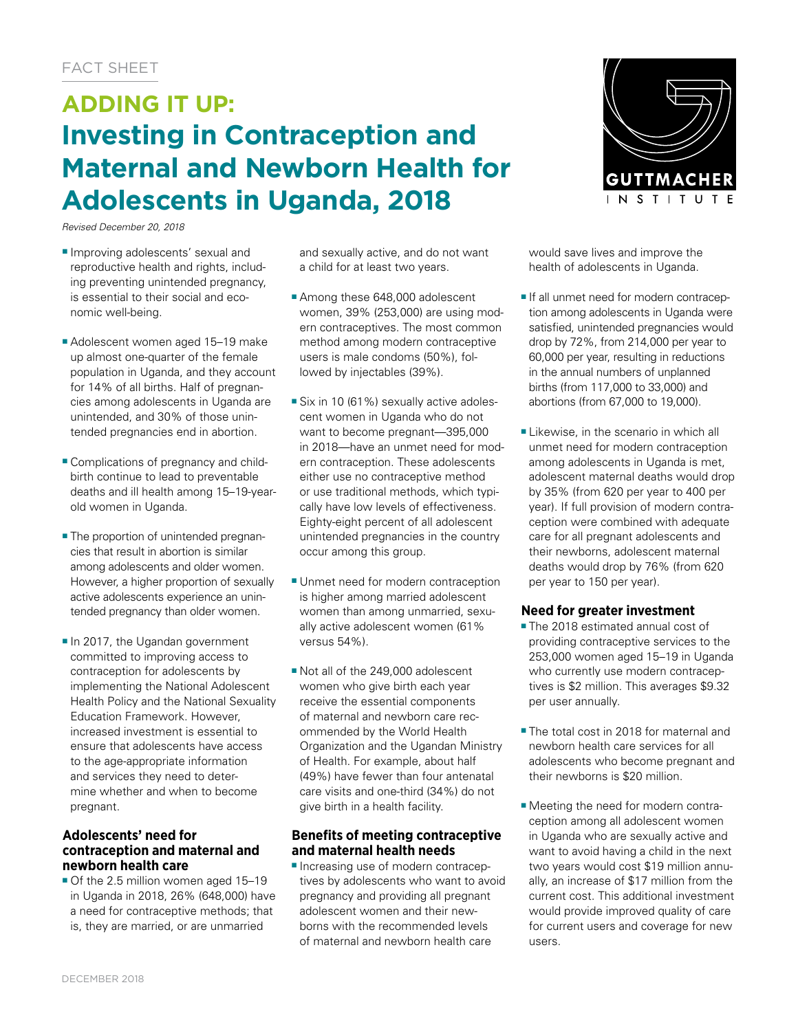# **ADDING IT UP: Investing in Contraception and Maternal and Newborn Health for Adolescents in Uganda, 2018**

*Revised December 20, 2018*

- Improving adolescents' sexual and reproductive health and rights, including preventing unintended pregnancy, is essential to their social and economic well-being.
- Adolescent women aged 15-19 make up almost one-quarter of the female population in Uganda, and they account for 14% of all births. Half of pregnancies among adolescents in Uganda are unintended, and 30% of those unintended pregnancies end in abortion.
- Complications of pregnancy and childbirth continue to lead to preventable deaths and ill health among 15–19-yearold women in Uganda.
- The proportion of unintended pregnancies that result in abortion is similar among adolescents and older women. However, a higher proportion of sexually active adolescents experience an unintended pregnancy than older women.
- In 2017, the Ugandan government committed to improving access to contraception for adolescents by implementing the National Adolescent Health Policy and the National Sexuality Education Framework. However, increased investment is essential to ensure that adolescents have access to the age-appropriate information and services they need to determine whether and when to become pregnant.

## **Adolescents' need for contraception and maternal and newborn health care**

■ Of the 2.5 million women aged 15-19 in Uganda in 2018, 26% (648,000) have a need for contraceptive methods; that is, they are married, or are unmarried

and sexually active, and do not want a child for at least two years.

- Among these 648,000 adolescent women, 39% (253,000) are using modern contraceptives. The most common method among modern contraceptive users is male condoms (50%), followed by injectables (39%).
- Six in 10 (61%) sexually active adolescent women in Uganda who do not want to become pregnant—395,000 in 2018—have an unmet need for modern contraception. These adolescents either use no contraceptive method or use traditional methods, which typically have low levels of effectiveness. Eighty-eight percent of all adolescent unintended pregnancies in the country occur among this group.
- Unmet need for modern contraception is higher among married adolescent women than among unmarried, sexually active adolescent women (61% versus 54%).
- Not all of the 249,000 adolescent women who give birth each year receive the essential components of maternal and newborn care recommended by the World Health Organization and the Ugandan Ministry of Health. For example, about half (49%) have fewer than four antenatal care visits and one-third (34%) do not give birth in a health facility.

# **Benefits of meeting contraceptive and maternal health needs**

■ Increasing use of modern contraceptives by adolescents who want to avoid pregnancy and providing all pregnant adolescent women and their newborns with the recommended levels of maternal and newborn health care



would save lives and improve the health of adolescents in Uganda.

- If all unmet need for modern contraception among adolescents in Uganda were satisfied, unintended pregnancies would drop by 72%, from 214,000 per year to 60,000 per year, resulting in reductions in the annual numbers of unplanned births (from 117,000 to 33,000) and abortions (from 67,000 to 19,000).
- Likewise, in the scenario in which all unmet need for modern contraception among adolescents in Uganda is met, adolescent maternal deaths would drop by 35% (from 620 per year to 400 per year). If full provision of modern contraception were combined with adequate care for all pregnant adolescents and their newborns, adolescent maternal deaths would drop by 76% (from 620 per year to 150 per year).

# **Need for greater investment**

- The 2018 estimated annual cost of providing contraceptive services to the 253,000 women aged 15–19 in Uganda who currently use modern contraceptives is \$2 million. This averages \$9.32 per user annually.
- The total cost in 2018 for maternal and newborn health care services for all adolescents who become pregnant and their newborns is \$20 million.
- Meeting the need for modern contraception among all adolescent women in Uganda who are sexually active and want to avoid having a child in the next two years would cost \$19 million annually, an increase of \$17 million from the current cost. This additional investment would provide improved quality of care for current users and coverage for new users.